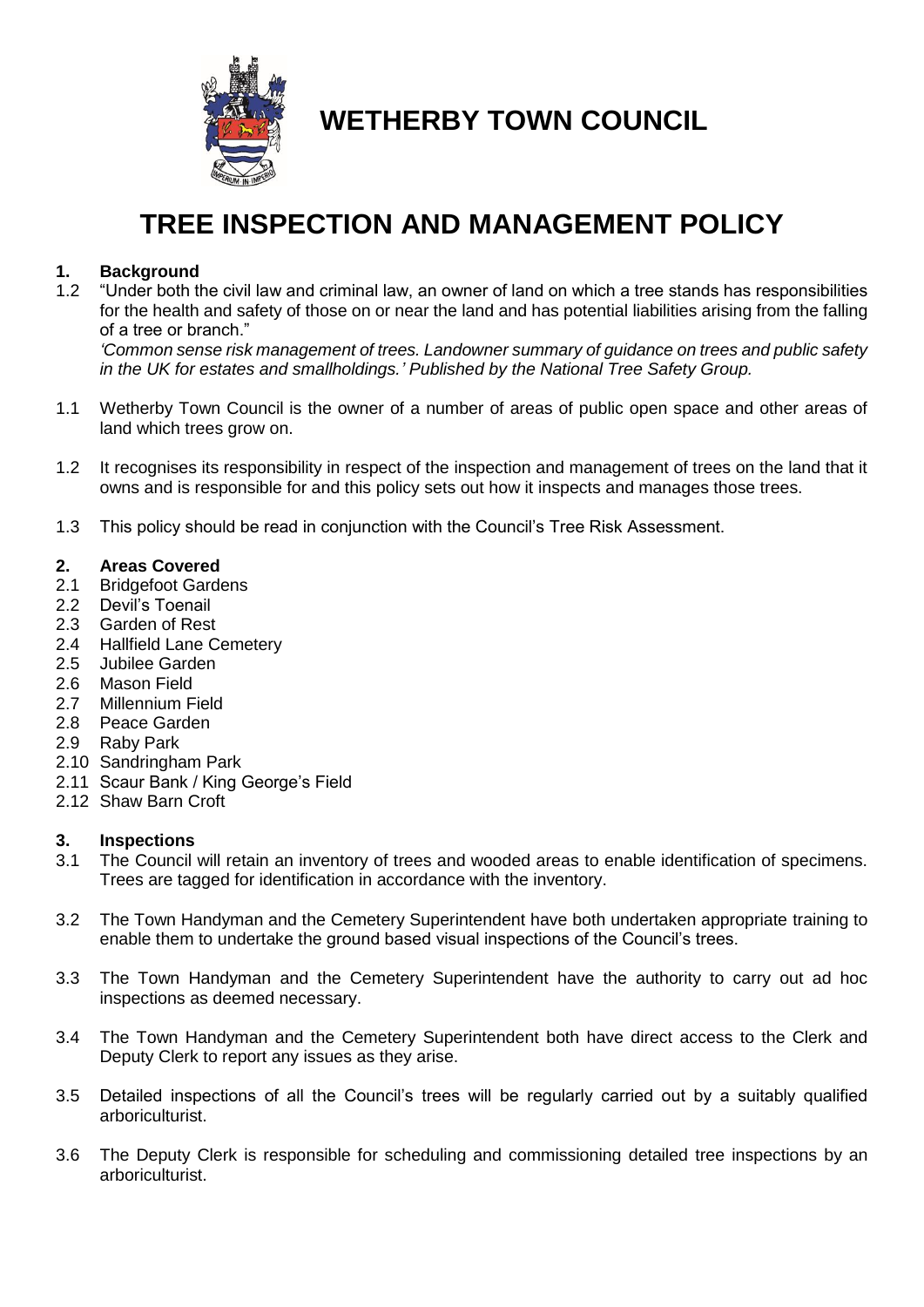

**WETHERBY TOWN COUNCIL**

# **TREE INSPECTION AND MANAGEMENT POLICY**

# **1. Background**

1.2 "Under both the civil law and criminal law, an owner of land on which a tree stands has responsibilities for the health and safety of those on or near the land and has potential liabilities arising from the falling of a tree or branch."

*'Common sense risk management of trees. Landowner summary of guidance on trees and public safety in the UK for estates and smallholdings.' Published by the National Tree Safety Group.* 

- 1.1 Wetherby Town Council is the owner of a number of areas of public open space and other areas of land which trees grow on.
- 1.2 It recognises its responsibility in respect of the inspection and management of trees on the land that it owns and is responsible for and this policy sets out how it inspects and manages those trees.
- 1.3 This policy should be read in conjunction with the Council's Tree Risk Assessment.

#### **2. Areas Covered**

- 2.1 Bridgefoot Gardens
- 2.2 Devil's Toenail
- 2.3 Garden of Rest
- 2.4 Hallfield Lane Cemetery
- 2.5 Jubilee Garden
- 2.6 Mason Field
- 2.7 Millennium Field
- 2.8 Peace Garden
- 2.9 Raby Park
- 2.10 Sandringham Park
- 2.11 Scaur Bank / King George's Field
- 2.12 Shaw Barn Croft

#### **3. Inspections**

- 3.1 The Council will retain an inventory of trees and wooded areas to enable identification of specimens. Trees are tagged for identification in accordance with the inventory.
- 3.2 The Town Handyman and the Cemetery Superintendent have both undertaken appropriate training to enable them to undertake the ground based visual inspections of the Council's trees.
- 3.3 The Town Handyman and the Cemetery Superintendent have the authority to carry out ad hoc inspections as deemed necessary.
- 3.4 The Town Handyman and the Cemetery Superintendent both have direct access to the Clerk and Deputy Clerk to report any issues as they arise.
- 3.5 Detailed inspections of all the Council's trees will be regularly carried out by a suitably qualified arboriculturist.
- 3.6 The Deputy Clerk is responsible for scheduling and commissioning detailed tree inspections by an arboriculturist.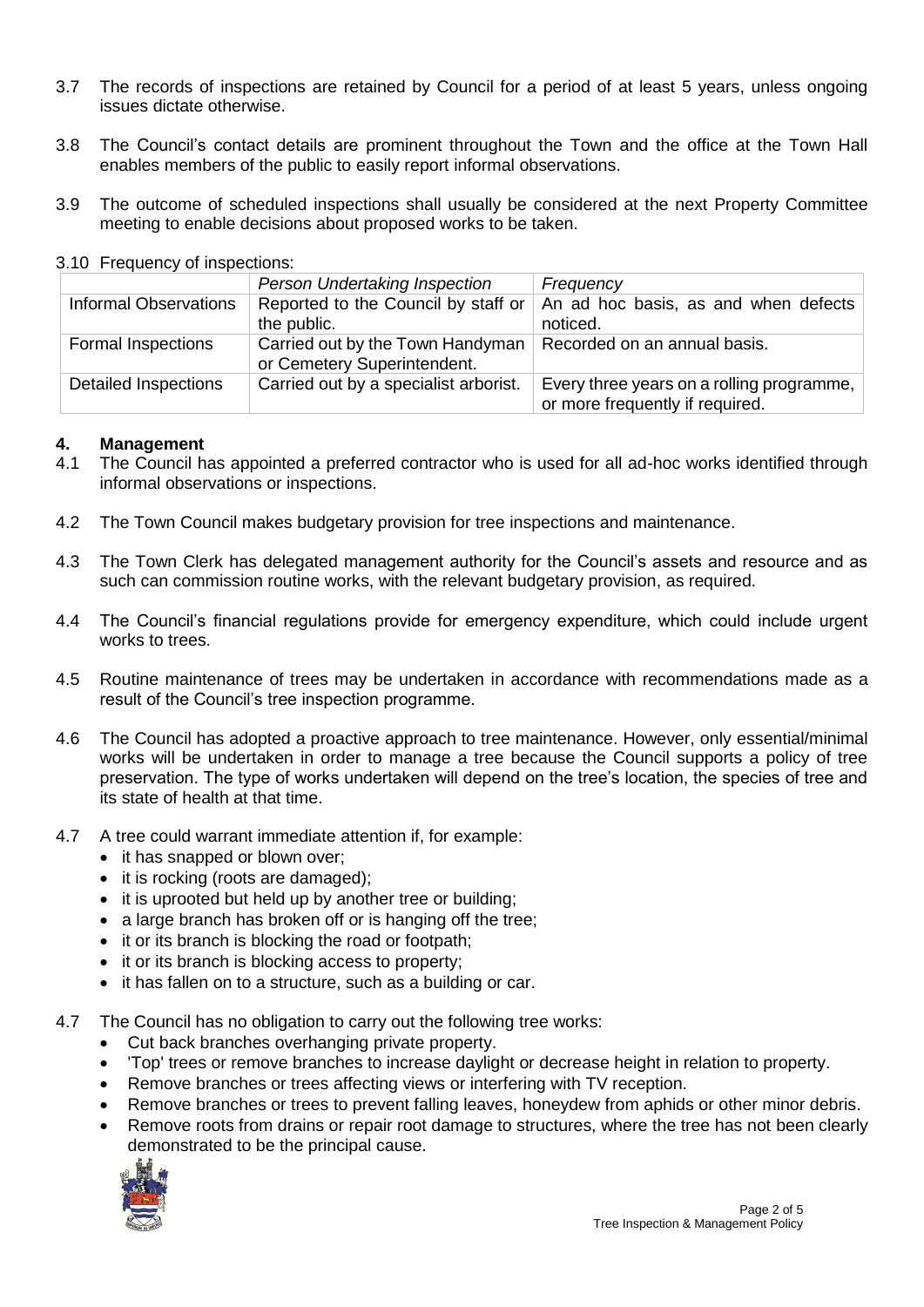- 3.7 The records of inspections are retained by Council for a period of at least 5 years, unless ongoing issues dictate otherwise.
- 3.8 The Council's contact details are prominent throughout the Town and the office at the Town Hall enables members of the public to easily report informal observations.
- 3.9 The outcome of scheduled inspections shall usually be considered at the next Property Committee meeting to enable decisions about proposed works to be taken.
- 3.10 Frequency of inspections:

|                              | Person Undertaking Inspection                                   | Frequency                                                                    |
|------------------------------|-----------------------------------------------------------------|------------------------------------------------------------------------------|
| <b>Informal Observations</b> | Reported to the Council by staff or<br>the public.              | An ad hoc basis, as and when defects<br>noticed.                             |
| <b>Formal Inspections</b>    | Carried out by the Town Handyman<br>or Cemetery Superintendent. | Recorded on an annual basis.                                                 |
| <b>Detailed Inspections</b>  | Carried out by a specialist arborist.                           | Every three years on a rolling programme,<br>or more frequently if required. |

## **4. Management**

- 4.1 The Council has appointed a preferred contractor who is used for all ad-hoc works identified through informal observations or inspections.
- 4.2 The Town Council makes budgetary provision for tree inspections and maintenance.
- 4.3 The Town Clerk has delegated management authority for the Council's assets and resource and as such can commission routine works, with the relevant budgetary provision, as required.
- 4.4 The Council's financial regulations provide for emergency expenditure, which could include urgent works to trees.
- 4.5 Routine maintenance of trees may be undertaken in accordance with recommendations made as a result of the Council's tree inspection programme.
- 4.6 The Council has adopted a proactive approach to tree maintenance. However, only essential/minimal works will be undertaken in order to manage a tree because the Council supports a policy of tree preservation. The type of works undertaken will depend on the tree's location, the species of tree and its state of health at that time.
- 4.7 A tree could warrant immediate attention if, for example:
	- it has snapped or blown over;
	- it is rocking (roots are damaged);
	- it is uprooted but held up by another tree or building;
	- a large branch has broken off or is hanging off the tree;
	- it or its branch is blocking the road or footpath:
	- it or its branch is blocking access to property;
	- it has fallen on to a structure, such as a building or car.
- 4.7 The Council has no obligation to carry out the following tree works:
	- Cut back branches overhanging private property.
	- 'Top' trees or remove branches to increase daylight or decrease height in relation to property.
	- Remove branches or trees affecting views or interfering with TV reception.
	- Remove branches or trees to prevent falling leaves, honeydew from aphids or other minor debris.
	- Remove roots from drains or repair root damage to structures, where the tree has not been clearly demonstrated to be the principal cause.

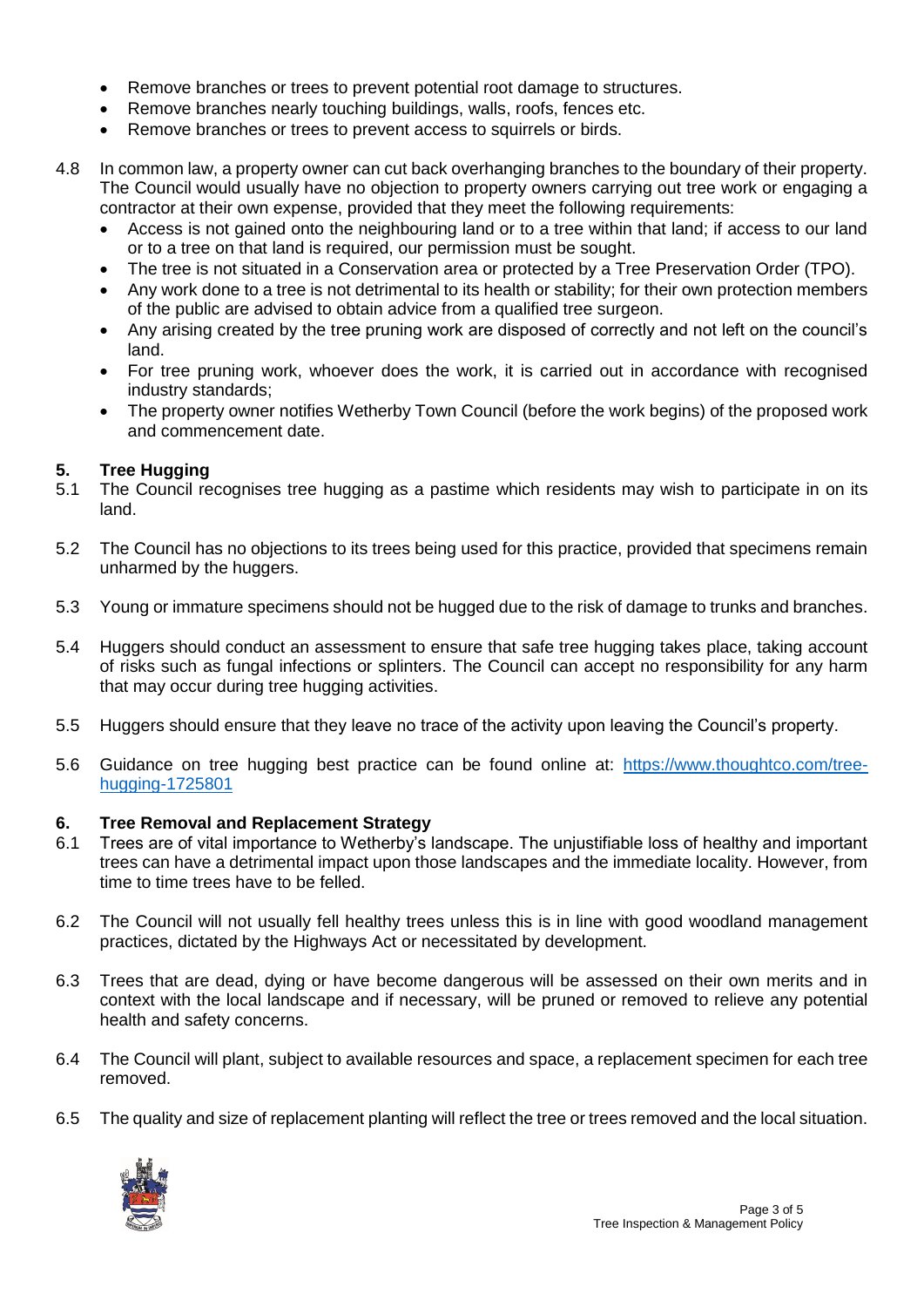- Remove branches or trees to prevent potential root damage to structures.
- Remove branches nearly touching buildings, walls, roofs, fences etc.
- Remove branches or trees to prevent access to squirrels or birds.
- 4.8 In common law, a property owner can cut back overhanging branches to the boundary of their property. The Council would usually have no objection to property owners carrying out tree work or engaging a contractor at their own expense, provided that they meet the following requirements:
	- Access is not gained onto the neighbouring land or to a tree within that land; if access to our land or to a tree on that land is required, our permission must be sought.
	- The tree is not situated in a Conservation area or protected by a Tree Preservation Order (TPO).
	- Any work done to a tree is not detrimental to its health or stability; for their own protection members of the public are advised to obtain advice from a qualified tree surgeon.
	- Any arising created by the tree pruning work are disposed of correctly and not left on the council's land.
	- For tree pruning work, whoever does the work, it is carried out in accordance with recognised industry standards;
	- The property owner notifies Wetherby Town Council (before the work begins) of the proposed work and commencement date.

## **5. Tree Hugging**

- 5.1 The Council recognises tree hugging as a pastime which residents may wish to participate in on its land.
- 5.2 The Council has no objections to its trees being used for this practice, provided that specimens remain unharmed by the huggers.
- 5.3 Young or immature specimens should not be hugged due to the risk of damage to trunks and branches.
- 5.4 Huggers should conduct an assessment to ensure that safe tree hugging takes place, taking account of risks such as fungal infections or splinters. The Council can accept no responsibility for any harm that may occur during tree hugging activities.
- 5.5 Huggers should ensure that they leave no trace of the activity upon leaving the Council's property.
- 5.6 Guidance on tree hugging best practice can be found online at: [https://www.thoughtco.com/tree](https://www.thoughtco.com/tree-hugging-1725801)[hugging-1725801](https://www.thoughtco.com/tree-hugging-1725801)

#### **6. Tree Removal and Replacement Strategy**

- 6.1 Trees are of vital importance to Wetherby's landscape. The unjustifiable loss of healthy and important trees can have a detrimental impact upon those landscapes and the immediate locality. However, from time to time trees have to be felled.
- 6.2 The Council will not usually fell healthy trees unless this is in line with good woodland management practices, dictated by the Highways Act or necessitated by development.
- 6.3 Trees that are dead, dying or have become dangerous will be assessed on their own merits and in context with the local landscape and if necessary, will be pruned or removed to relieve any potential health and safety concerns.
- 6.4 The Council will plant, subject to available resources and space, a replacement specimen for each tree removed.
- 6.5 The quality and size of replacement planting will reflect the tree or trees removed and the local situation.

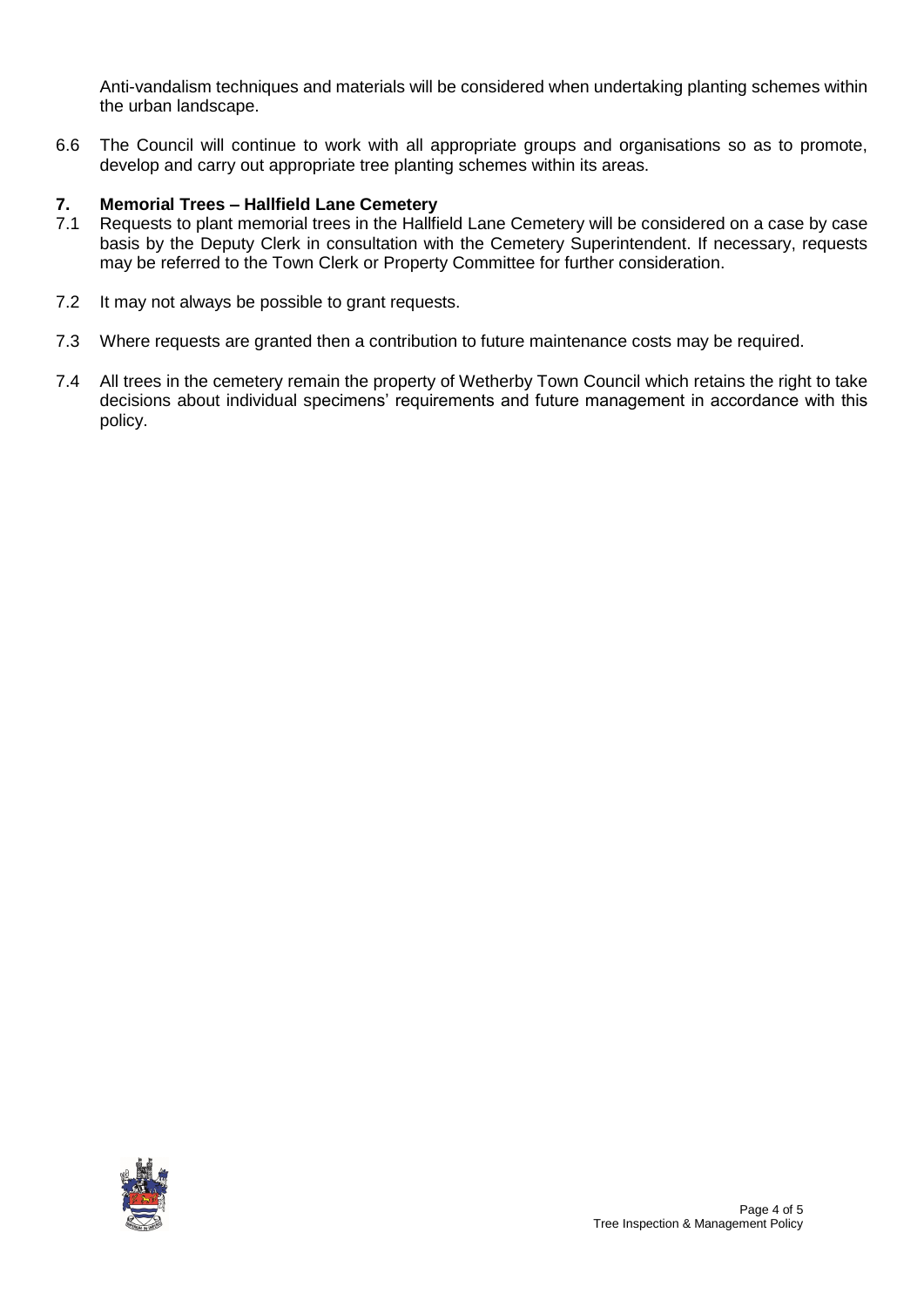Anti-vandalism techniques and materials will be considered when undertaking planting schemes within the urban landscape.

6.6 The Council will continue to work with all appropriate groups and organisations so as to promote, develop and carry out appropriate tree planting schemes within its areas.

# **7. Memorial Trees – Hallfield Lane Cemetery**

- 7.1 Requests to plant memorial trees in the Hallfield Lane Cemetery will be considered on a case by case basis by the Deputy Clerk in consultation with the Cemetery Superintendent. If necessary, requests may be referred to the Town Clerk or Property Committee for further consideration.
- 7.2 It may not always be possible to grant requests.
- 7.3 Where requests are granted then a contribution to future maintenance costs may be required.
- 7.4 All trees in the cemetery remain the property of Wetherby Town Council which retains the right to take decisions about individual specimens' requirements and future management in accordance with this policy.